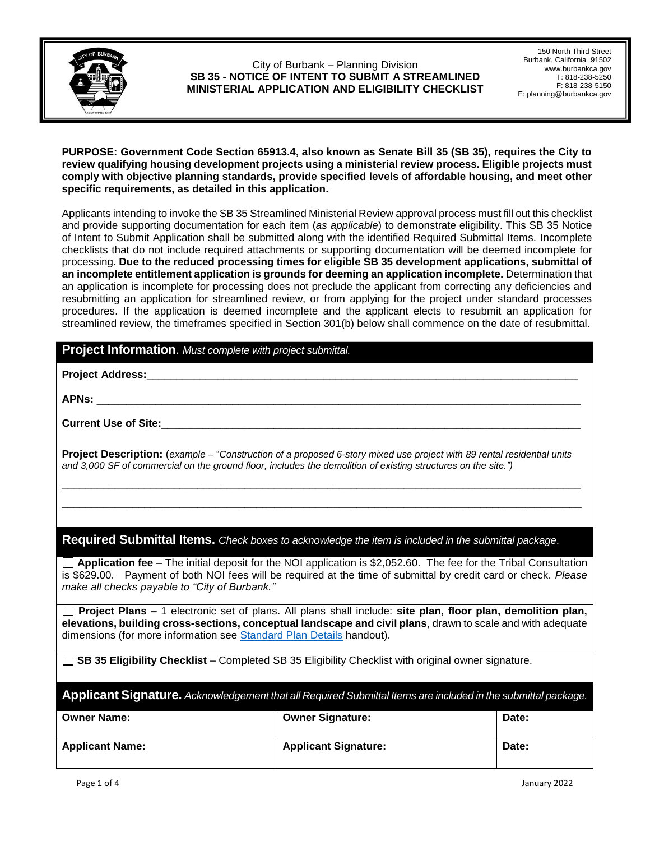

150 North Third Street Burbank, California 91502 www.burbankca.gov T: 818-238-5250 F: 818-238-5150 E: planning@burbankca.gov

# **PURPOSE: Government Code Section 65913.4, also known as Senate Bill 35 (SB 35), requires the City to review qualifying housing development projects using a ministerial review process. Eligible projects must comply with objective planning standards, provide specified levels of affordable housing, and meet other specific requirements, as detailed in this application.**

Applicants intending to invoke the SB 35 Streamlined Ministerial Review approval process must fill out this checklist and provide supporting documentation for each item (*as applicable*) to demonstrate eligibility. This SB 35 Notice of Intent to Submit Application shall be submitted along with the identified Required Submittal Items. Incomplete checklists that do not include required attachments or supporting documentation will be deemed incomplete for processing. **Due to the reduced processing times for eligible SB 35 development applications, submittal of an incomplete entitlement application is grounds for deeming an application incomplete.** Determination that an application is incomplete for processing does not preclude the applicant from correcting any deficiencies and resubmitting an application for streamlined review, or from applying for the project under standard processes procedures. If the application is deemed incomplete and the applicant elects to resubmit an application for streamlined review, the timeframes specified in Section 301(b) below shall commence on the date of resubmittal.

# **Project Information**. *Must complete with project submittal.*

**Project Address:**\_\_\_\_\_\_\_\_\_\_\_\_\_\_\_\_\_\_\_\_\_\_\_\_\_\_\_\_\_\_\_\_\_\_\_\_\_\_\_\_\_\_\_\_\_\_\_\_\_\_\_\_\_\_\_\_\_\_\_\_\_\_\_\_\_\_\_\_\_\_\_\_\_

**APNs:** \_\_\_\_\_\_\_\_\_\_\_\_\_\_\_\_\_\_\_\_\_\_\_\_\_\_\_\_\_\_\_\_\_\_\_\_\_\_\_\_\_\_\_\_\_\_\_\_\_\_\_\_\_\_\_\_\_\_\_\_\_\_\_\_\_\_\_\_\_\_\_\_\_\_\_\_\_\_\_\_\_\_

**Current Use of Site:**\_\_\_\_\_\_\_\_\_\_\_\_\_\_\_\_\_\_\_\_\_\_\_\_\_\_\_\_\_\_\_\_\_\_\_\_\_\_\_\_\_\_\_\_\_\_\_\_\_\_\_\_\_\_\_\_\_\_\_\_\_\_\_\_\_\_\_\_\_\_\_

**Project Description:** (*example* – "*Construction of a proposed 6-story mixed use project with 89 rental residential units and 3,000 SF of commercial on the ground floor, includes the demolition of existing structures on the site.")*

\_\_\_\_\_\_\_\_\_\_\_\_\_\_\_\_\_\_\_\_\_\_\_\_\_\_\_\_\_\_\_\_\_\_\_\_\_\_\_\_\_\_\_\_\_\_\_\_\_\_\_\_\_\_\_\_\_\_\_\_\_\_\_\_\_\_\_\_\_\_\_\_\_\_\_\_\_\_\_\_\_\_\_\_\_\_\_\_ \_\_\_\_\_\_\_\_\_\_\_\_\_\_\_\_\_\_\_\_\_\_\_\_\_\_\_\_\_\_\_\_\_\_\_\_\_\_\_\_\_\_\_\_\_\_\_\_\_\_\_\_\_\_\_\_\_\_\_\_\_\_\_\_\_\_\_\_\_\_\_\_\_\_\_\_\_\_\_\_\_\_\_\_\_\_\_\_

**Required Submittal Items.** *Check boxes to acknowledge the item is included in the submittal package*.

**Application fee** – The initial deposit for the NOI application is \$2,052.60. The fee for the Tribal Consultation is \$629.00. Payment of both NOI fees will be required at the time of submittal by credit card or check. *Please make all checks payable to "City of Burbank."* 

**Project Plans –** 1 electronic set of plans. All plans shall include: **site plan, floor plan, demolition plan, elevations, building cross-sections, conceptual landscape and civil plans**, drawn to scale and with adequate dimensions (for more information see [Standard Plan Details](https://www.burbankca.gov/documents/173607/173622/20210101_Planning_Standard_Plan_Details.pdf/6dc89ba4-20fa-2b82-cab4-d989f652c4a5?t=1617033317971) handout).

**SB 35 Eligibility Checklist** – Completed SB 35 Eligibility Checklist with original owner signature.

**Applicant Signature.** *Acknowledgement that all Required Submittal Items are included in the submittal package.*

| <b>Owner Name:</b>     | <b>Owner Signature:</b>     | Date: |
|------------------------|-----------------------------|-------|
| <b>Applicant Name:</b> | <b>Applicant Signature:</b> | Date: |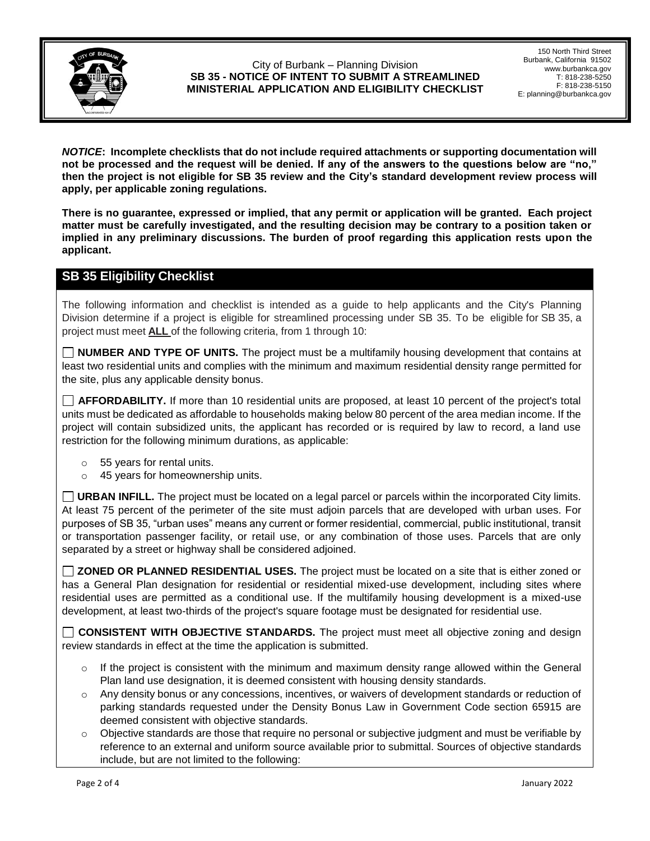

150 North Third Street Burbank, California 91502 www.burbankca.gov T: 818-238-5250 F: 818-238-5150 E: planning@burbankca.gov

*NOTICE***: Incomplete checklists that do not include required attachments or supporting documentation will not be processed and the request will be denied. If any of the answers to the questions below are "no," then the project is not eligible for SB 35 review and the City's standard development review process will apply, per applicable zoning regulations.**

**There is no guarantee, expressed or implied, that any permit or application will be granted. Each project matter must be carefully investigated, and the resulting decision may be contrary to a position taken or implied in any preliminary discussions. The burden of proof regarding this application rests upon the applicant.** 

# **SB 35 Eligibility Checklist**

The following information and checklist is intended as a guide to help applicants and the City's Planning Division determine if a project is eligible for streamlined processing under SB 35. To be eligible for SB 35, a project must meet **ALL** of the following criteria, from 1 through 10:

**NUMBER AND TYPE OF UNITS.** The project must be a multifamily housing development that contains at least two residential units and complies with the minimum and maximum residential density range permitted for the site, plus any applicable density bonus.

**AFFORDABILITY.** If more than 10 residential units are proposed, at least 10 percent of the project's total units must be dedicated as affordable to households making below 80 percent of the area median income. If the project will contain subsidized units, the applicant has recorded or is required by law to record, a land use restriction for the following minimum durations, as applicable:

- o 55 years for rental units.
- o 45 years for homeownership units.

**URBAN INFILL.** The project must be located on a legal parcel or parcels within the incorporated City limits. At least 75 percent of the perimeter of the site must adjoin parcels that are developed with urban uses. For purposes of SB 35, "urban uses" means any current or former residential, commercial, public institutional, transit or transportation passenger facility, or retail use, or any combination of those uses. Parcels that are only separated by a street or highway shall be considered adjoined.

**ZONED OR PLANNED RESIDENTIAL USES.** The project must be located on a site that is either zoned or has a General Plan designation for residential or residential mixed-use development, including sites where residential uses are permitted as a conditional use. If the multifamily housing development is a mixed-use development, at least two-thirds of the project's square footage must be designated for residential use.

**CONSISTENT WITH OBJECTIVE STANDARDS.** The project must meet all objective zoning and design review standards in effect at the time the application is submitted.

- $\circ$  If the project is consistent with the minimum and maximum density range allowed within the General Plan land use designation, it is deemed consistent with housing density standards.
- o Any density bonus or any concessions, incentives, or waivers of development standards or reduction of parking standards requested under the Density Bonus Law in Government Code section 65915 are deemed consistent with objective standards.
- o Objective standards are those that require no personal or subjective judgment and must be verifiable by reference to an external and uniform source available prior to submittal. Sources of objective standards include, but are not limited to the following: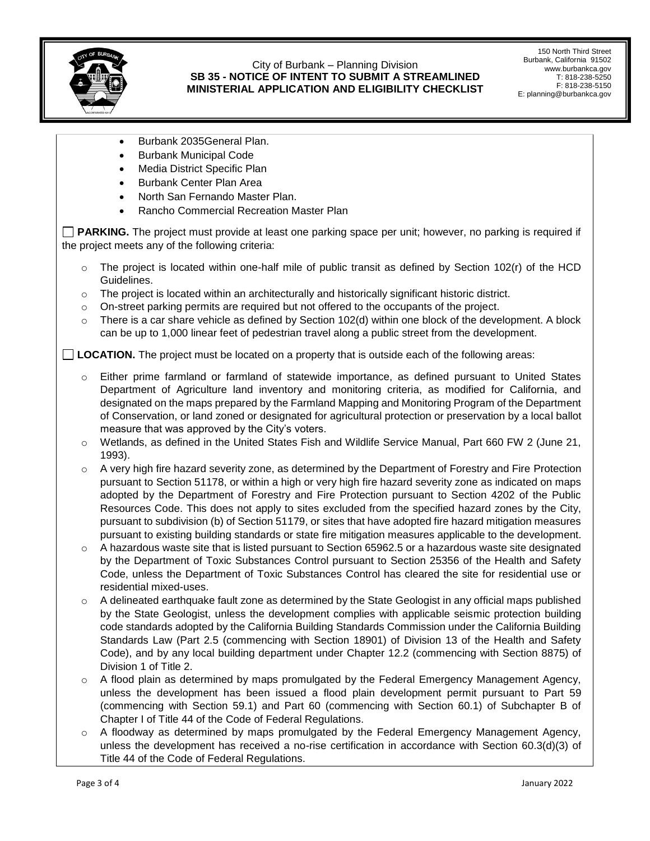

150 North Third Street Burbank, California 91502 www.burbankca.gov T: 818-238-5250 F: 818-238-5150 E: planning@burbankca.gov

- Burbank 2035General Plan.
- Burbank Municipal Code
- Media District Specific Plan
- Burbank Center Plan Area
- North San Fernando Master Plan.
- Rancho Commercial Recreation Master Plan

**PARKING.** The project must provide at least one parking space per unit; however, no parking is required if the project meets any of the following criteria:

- $\circ$  The project is located within one-half mile of public transit as defined by Section 102(r) of the HCD Guidelines.
- $\circ$  The project is located within an architecturally and historically significant historic district.
- $\circ$  On-street parking permits are required but not offered to the occupants of the project.
- $\circ$  There is a car share vehicle as defined by Section 102(d) within one block of the development. A block can be up to 1,000 linear feet of pedestrian travel along a public street from the development.

**LOCATION.** The project must be located on a property that is outside each of the following areas:

- o Either prime farmland or farmland of statewide importance, as defined pursuant to United States Department of Agriculture land inventory and monitoring criteria, as modified for California, and designated on the maps prepared by the Farmland Mapping and Monitoring Program of the Department of Conservation, or land zoned or designated for agricultural protection or preservation by a local ballot measure that was approved by the City's voters.
- o Wetlands, as defined in the United States Fish and Wildlife Service Manual, Part 660 FW 2 (June 21, 1993).
- $\circ$  A very high fire hazard severity zone, as determined by the Department of Forestry and Fire Protection pursuant to Section 51178, or within a high or very high fire hazard severity zone as indicated on maps adopted by the Department of Forestry and Fire Protection pursuant to Section 4202 of the Public Resources Code. This does not apply to sites excluded from the specified hazard zones by the City, pursuant to subdivision (b) of Section 51179, or sites that have adopted fire hazard mitigation measures pursuant to existing building standards or state fire mitigation measures applicable to the development.
- o A hazardous waste site that is listed pursuant to Section 65962.5 or a hazardous waste site designated by the Department of Toxic Substances Control pursuant to Section 25356 of the Health and Safety Code, unless the Department of Toxic Substances Control has cleared the site for residential use or residential mixed-uses.
- $\circ$  A delineated earthquake fault zone as determined by the State Geologist in any official maps published by the State Geologist, unless the development complies with applicable seismic protection building code standards adopted by the California Building Standards Commission under the California Building Standards Law (Part 2.5 (commencing with Section 18901) of Division 13 of the Health and Safety Code), and by any local building department under Chapter 12.2 (commencing with Section 8875) of Division 1 of Title 2.
- $\circ$  A flood plain as determined by maps promulgated by the Federal Emergency Management Agency, unless the development has been issued a flood plain development permit pursuant to Part 59 (commencing with Section 59.1) and Part 60 (commencing with Section 60.1) of Subchapter B of Chapter I of Title 44 of the Code of Federal Regulations.
- o A floodway as determined by maps promulgated by the Federal Emergency Management Agency, unless the development has received a no-rise certification in accordance with Section 60.3(d)(3) of Title 44 of the Code of Federal Regulations.